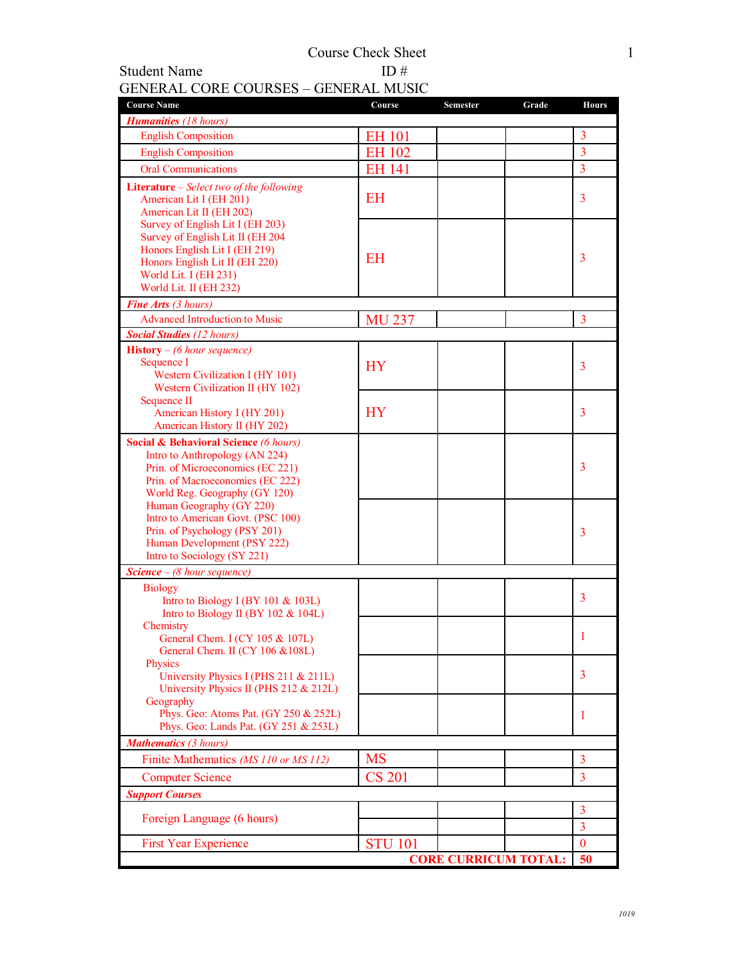## GENERAL CORE COURSES – GENERAL MUSIC

Student Name

| <b>Course Name</b>                                                                                                                                                                          | Course         | Semester | Grade | <b>Hours</b>   |
|---------------------------------------------------------------------------------------------------------------------------------------------------------------------------------------------|----------------|----------|-------|----------------|
| <b>Humanities</b> (18 hours)                                                                                                                                                                |                |          |       |                |
| <b>English Composition</b>                                                                                                                                                                  | EH 101         |          |       | $\overline{3}$ |
| <b>English Composition</b>                                                                                                                                                                  | <b>EH 102</b>  |          |       | $\overline{3}$ |
| <b>Oral Communications</b>                                                                                                                                                                  | <b>EH 141</b>  |          |       | $\overline{3}$ |
| Literature – Select two of the following<br>American Lit I (EH 201)<br>American Lit II (EH 202)                                                                                             | <b>EH</b>      |          |       | 3              |
| Survey of English Lit I (EH 203)<br>Survey of English Lit II (EH 204<br>Honors English Lit I (EH 219)<br>Honors English Lit II (EH 220)<br>World Lit. I (EH 231)<br>World Lit. II (EH 232)  | <b>EH</b>      |          |       | 3              |
| <b>Fine Arts (3 hours)</b>                                                                                                                                                                  |                |          |       |                |
| <b>Advanced Introduction to Music</b>                                                                                                                                                       | <b>MU 237</b>  |          |       | 3              |
| <b>Social Studies (12 hours)</b>                                                                                                                                                            |                |          |       |                |
| <b>History</b> – (6 hour sequence)<br>Sequence I<br>Western Civilization I (HY 101)<br>Western Civilization II (HY 102)                                                                     | <b>HY</b>      |          |       | 3              |
| Sequence II<br>American History I (HY 201)<br>American History II (HY 202)                                                                                                                  | <b>HY</b>      |          |       | 3              |
| <b>Social &amp; Behavioral Science (6 hours)</b><br>Intro to Anthropology (AN 224)<br>Prin. of Microeconomics (EC 221)<br>Prin. of Macroeconomics (EC 222)<br>World Reg. Geography (GY 120) |                |          |       | 3              |
| Human Geography (GY 220)<br>Intro to American Govt. (PSC 100)<br>Prin. of Psychology (PSY 201)<br>Human Development (PSY 222)<br>Intro to Sociology (SY 221)                                |                |          |       | 3              |
| <b>Science</b> $-$ (8 hour sequence)                                                                                                                                                        |                |          |       |                |
| <b>Biology</b><br>Intro to Biology I (BY 101 $&$ 103L)<br>Intro to Biology II (BY 102 & 104L)                                                                                               |                |          |       | 3              |
| Chemistry<br>General Chem. I (CY 105 & 107L)<br>General Chem. II (CY 106 & 108L)                                                                                                            |                |          |       | 1              |
| Physics<br>University Physics I (PHS 211 & 211L)<br>University Physics II (PHS 212 & 212L)                                                                                                  |                |          |       | 3              |
| Geography<br>Phys. Geo: Atoms Pat. (GY 250 & 252L)<br>Phys. Geo: Lands Pat. (GY 251 & 253L)                                                                                                 |                |          |       | 1              |
| <b>Mathematics</b> (3 hours)                                                                                                                                                                |                |          |       |                |
| Finite Mathematics (MS 110 or MS 112)                                                                                                                                                       | <b>MS</b>      |          |       | 3              |
| <b>Computer Science</b>                                                                                                                                                                     | <b>CS 201</b>  |          |       | 3              |
| <b>Support Courses</b>                                                                                                                                                                      |                |          |       |                |
|                                                                                                                                                                                             |                |          |       | $\overline{3}$ |
| Foreign Language (6 hours)                                                                                                                                                                  |                |          |       | 3              |
| <b>First Year Experience</b>                                                                                                                                                                | <b>STU 101</b> |          |       | $\mathbf{0}$   |
| <b>CORE CURRICUM TOTAL:</b>                                                                                                                                                                 |                |          |       | 50             |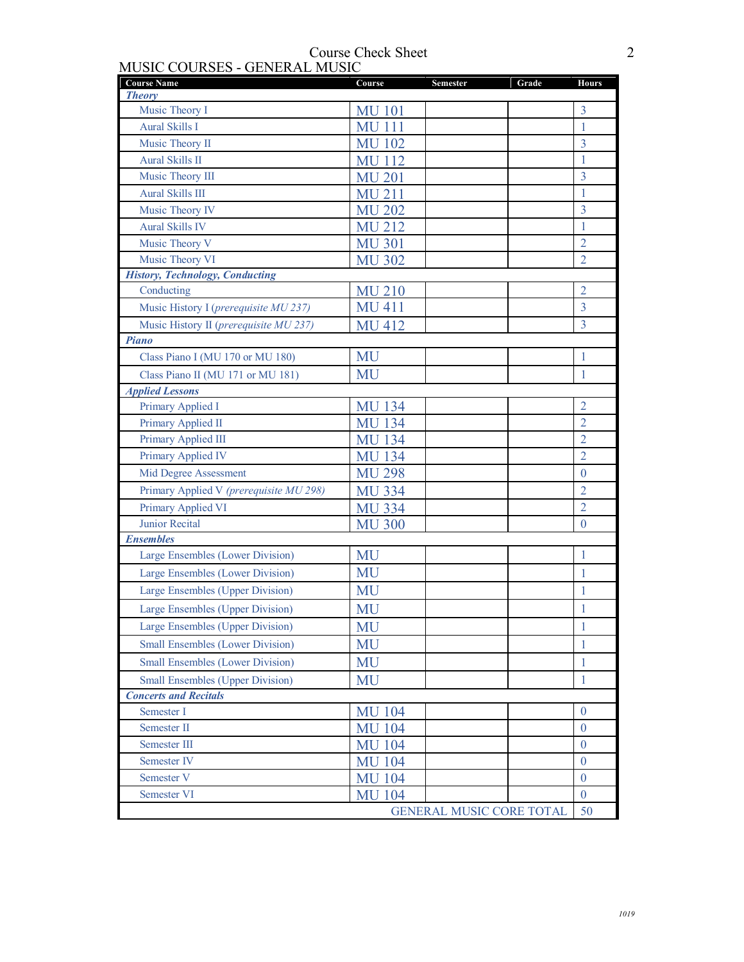| <b>Course Name</b><br><b>Theory</b>     | Course        | <b>Semester</b>                 | Grade | <b>Hours</b>   |
|-----------------------------------------|---------------|---------------------------------|-------|----------------|
| Music Theory I                          | <b>MU 101</b> |                                 |       | 3              |
| <b>Aural Skills I</b>                   | <b>MU 111</b> |                                 |       | 1              |
| Music Theory II                         | <b>MU 102</b> |                                 |       | 3              |
| <b>Aural Skills II</b>                  | <b>MU112</b>  |                                 |       | 1              |
| Music Theory III                        | <b>MU 201</b> |                                 |       | 3              |
| <b>Aural Skills III</b>                 | MU 211        |                                 |       | 1              |
| Music Theory IV                         | <b>MU 202</b> |                                 |       | $\overline{3}$ |
| <b>Aural Skills IV</b>                  | <b>MU 212</b> |                                 |       | 1              |
| Music Theory V                          | <b>MU 301</b> |                                 |       | $\overline{2}$ |
| Music Theory VI                         | <b>MU 302</b> |                                 |       | $\overline{2}$ |
| <b>History, Technology, Conducting</b>  |               |                                 |       |                |
| Conducting                              | <b>MU 210</b> |                                 |       | $\overline{2}$ |
| Music History I (prerequisite MU 237)   | <b>MU 411</b> |                                 |       | 3              |
| Music History II (prerequisite MU 237)  | <b>MU 412</b> |                                 |       | 3              |
| <b>Piano</b>                            |               |                                 |       |                |
| Class Piano I (MU 170 or MU 180)        | MU            |                                 |       | 1              |
| Class Piano II (MU 171 or MU 181)       | MU            |                                 |       | 1              |
| <b>Applied Lessons</b>                  |               |                                 |       |                |
| Primary Applied I                       | <b>MU 134</b> |                                 |       | $\overline{2}$ |
| Primary Applied II                      | <b>MU 134</b> |                                 |       | $\overline{2}$ |
| Primary Applied III                     | <b>MU 134</b> |                                 |       | 2              |
| Primary Applied IV                      | <b>MU 134</b> |                                 |       | $\overline{2}$ |
| Mid Degree Assessment                   | <b>MU 298</b> |                                 |       | $\theta$       |
| Primary Applied V (prerequisite MU 298) | <b>MU 334</b> |                                 |       | $\overline{2}$ |
| Primary Applied VI                      | <b>MU 334</b> |                                 |       | $\overline{2}$ |
| Junior Recital                          | <b>MU 300</b> |                                 |       | $\theta$       |
| <b>Ensembles</b>                        |               |                                 |       |                |
| Large Ensembles (Lower Division)        | MU            |                                 |       | 1              |
| Large Ensembles (Lower Division)        | MU            |                                 |       | 1              |
| Large Ensembles (Upper Division)        | MU            |                                 |       | 1              |
| Large Ensembles (Upper Division)        | MU            |                                 |       | 1              |
| Large Ensembles (Upper Division)        | MU            |                                 |       | $\mathbf{1}$   |
| <b>Small Ensembles (Lower Division)</b> | MU            |                                 |       | 1              |
| <b>Small Ensembles (Lower Division)</b> | MU            |                                 |       | $\mathbf{1}$   |
| <b>Small Ensembles (Upper Division)</b> | MU            |                                 |       | $\mathbf{1}$   |
| <b>Concerts and Recitals</b>            |               |                                 |       |                |
| Semester I                              | <b>MU 104</b> |                                 |       | $\theta$       |
| Semester II                             | <b>MU 104</b> |                                 |       | $\theta$       |
| Semester III                            | <b>MU 104</b> |                                 |       | $\theta$       |
| Semester IV                             | <b>MU 104</b> |                                 |       | $\theta$       |
| Semester V                              | <b>MU 104</b> |                                 |       | $\Omega$       |
| Semester VI                             | <b>MU 104</b> |                                 |       | $\mathbf{0}$   |
|                                         |               | <b>GENERAL MUSIC CORE TOTAL</b> |       | 50             |